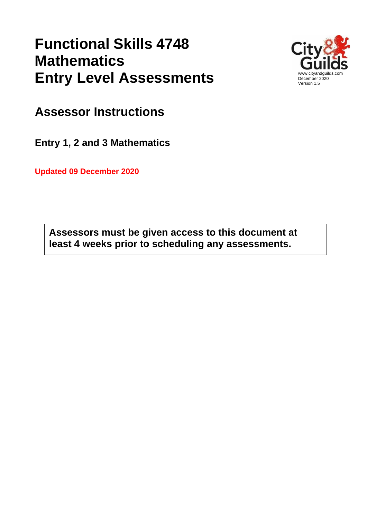# **Functional Skills 4748 Mathematics Entry Level Assessments**



**Assessor Instructions**

**Entry 1, 2 and 3 Mathematics**

**Updated 09 December 2020**

**Assessors must be given access to this document at least 4 weeks prior to scheduling any assessments.**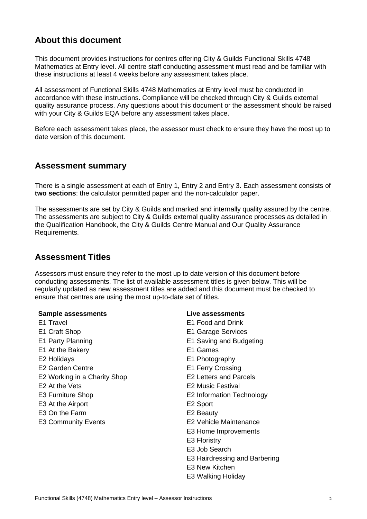## **About this document**

This document provides instructions for centres offering City & Guilds Functional Skills 4748 Mathematics at Entry level. All centre staff conducting assessment must read and be familiar with these instructions at least 4 weeks before any assessment takes place.

All assessment of Functional Skills 4748 Mathematics at Entry level must be conducted in accordance with these instructions. Compliance will be checked through City & Guilds external quality assurance process. Any questions about this document or the assessment should be raised with your City & Guilds EQA before any assessment takes place.

Before each assessment takes place, the assessor must check to ensure they have the most up to date version of this document.

#### **Assessment summary**

There is a single assessment at each of Entry 1, Entry 2 and Entry 3. Each assessment consists of **two sections**: the calculator permitted paper and the non-calculator paper.

The assessments are set by City & Guilds and marked and internally quality assured by the centre. The assessments are subject to City & Guilds external quality assurance processes as detailed in the Qualification Handbook, the City & Guilds Centre Manual and Our Quality Assurance Requirements.

## **Assessment Titles**

Assessors must ensure they refer to the most up to date version of this document before conducting assessments. The list of available assessment titles is given below. This will be regularly updated as new assessment titles are added and this document must be checked to ensure that centres are using the most up-to-date set of titles.

#### **Sample assessments**

- E1 Travel
- E1 Craft Shop
- E1 Party Planning
- E1 At the Bakery
- E2 Holidays
- E2 Garden Centre
- E2 Working in a Charity Shop
- E2 At the Vets
- E3 Furniture Shop
- E3 At the Airport
- E3 On the Farm
- E3 Community Events

#### **Live assessments**

E1 Food and Drink E1 Garage Services E1 Saving and Budgeting E1 Games E1 Photography E1 Ferry Crossing E2 Letters and Parcels E2 Music Festival E2 Information Technology E2 Sport E2 Beauty E2 Vehicle Maintenance E3 Home Improvements E3 Floristry E3 Job Search E3 Hairdressing and Barbering E3 New Kitchen E3 Walking Holiday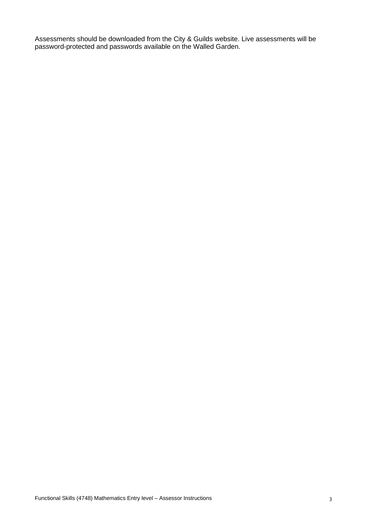Assessments should be downloaded from the City & Guilds website. Live assessments will be password-protected and passwords available on the Walled Garden.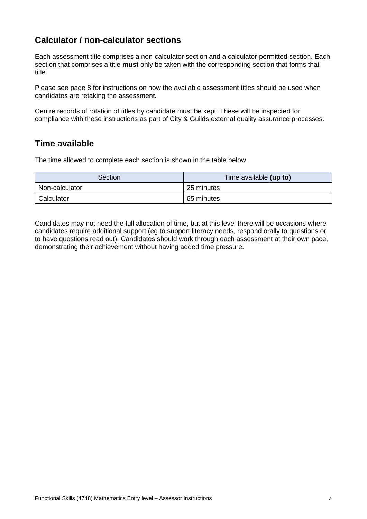## **Calculator / non-calculator sections**

Each assessment title comprises a non-calculator section and a calculator-permitted section. Each section that comprises a title **must** only be taken with the corresponding section that forms that title.

Please see page 8 for instructions on how the available assessment titles should be used when candidates are retaking the assessment.

Centre records of rotation of titles by candidate must be kept. These will be inspected for compliance with these instructions as part of City & Guilds external quality assurance processes.

#### **Time available**

The time allowed to complete each section is shown in the table below.

| Section        | Time available (up to) |  |
|----------------|------------------------|--|
| Non-calculator | 25 minutes             |  |
| Calculator     | 65 minutes             |  |

Candidates may not need the full allocation of time, but at this level there will be occasions where candidates require additional support (eg to support literacy needs, respond orally to questions or to have questions read out). Candidates should work through each assessment at their own pace, demonstrating their achievement without having added time pressure.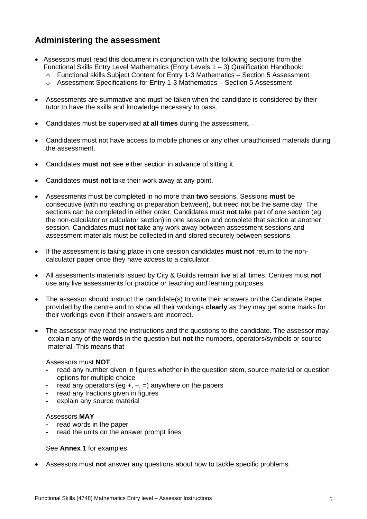## **Administering the assessment**

- Assessors must read this document in conjunction with the following sections from the Functional Skills Entry Level Mathematics (Entry Levels 1 – 3) Qualification Handbook:
	- o Functional skills Subject Content for Entry 1-3 Mathematics Section 5 Assessment
	- o Assessment Specifications for Entry 1-3 Mathematics Section 5 Assessment
- Assessments are summative and must be taken when the candidate is considered by their tutor to have the skills and knowledge necessary to pass.
- Candidates must be supervised **at all times** during the assessment.
- Candidates must not have access to mobile phones or any other unauthorised materials during the assessment.
- Candidates **must not** see either section in advance of sitting it.
- Candidates **must not** take their work away at any point.
- Assessments must be completed in no more than **two** sessions. Sessions **must** be consecutive (with no teaching or preparation between), but need not be the same day. The sections can be completed in either order. Candidates must **not** take part of one section (eg the non-calculator or calculator section) in one session and complete that section at another session. Candidates must **not** take any work away between assessment sessions and assessment materials must be collected in and stored securely between sessions.
- If the assessment is taking place in one session candidates **must not** return to the noncalculator paper once they have access to a calculator.
- All assessments materials issued by City & Guilds remain live at all times. Centres must **not** use any live assessments for practice or teaching and learning purposes.
- The assessor should instruct the candidate(s) to write their answers on the Candidate Paper provided by the centre and to show all their workings **clearly** as they may get some marks for their workings even if their answers are incorrect.
- The assessor may read the instructions and the questions to the candidate. The assessor may explain any of the **words** in the question but **not** the numbers, operators/symbols or source material. This means that

#### Assessors must **NOT**

- **-** read any number given in figures whether in the question stem, source material or question options for multiple choice
- **-** read any operators (eg +, ÷, =) anywhere on the papers
- **-** read any fractions given in figures
- **-** explain any source material

#### Assessors **MAY**

- **-** read words in the paper
- **-** read the units on the answer prompt lines

See **Annex 1** for examples.

• Assessors must **not** answer any questions about how to tackle specific problems.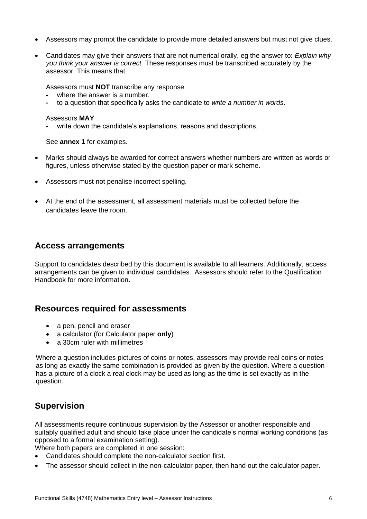- Assessors may prompt the candidate to provide more detailed answers but must not give clues.
- Candidates may give their answers that are not numerical orally, eg the answer to: *Explain why you think your answer is correct.* These responses must be transcribed accurately by the assessor. This means that

Assessors must **NOT** transcribe any response

- **-** where the answer is a number.
- **-** to a question that specifically asks the candidate to *write a number in words*.

#### Assessors **MAY**

**-** write down the candidate's explanations, reasons and descriptions.

See **annex 1** for examples.

- Marks should always be awarded for correct answers whether numbers are written as words or figures, unless otherwise stated by the question paper or mark scheme.
- Assessors must not penalise incorrect spelling.
- At the end of the assessment, all assessment materials must be collected before the candidates leave the room.

#### **Access arrangements**

Support to candidates described by this document is available to all learners. Additionally, access arrangements can be given to individual candidates. Assessors should refer to the Qualification Handbook for more information.

## **Resources required for assessments**

- a pen, pencil and eraser
- a calculator (for Calculator paper **only**)
- a 30cm ruler with millimetres

Where a question includes pictures of coins or notes, assessors may provide real coins or notes as long as exactly the same combination is provided as given by the question. Where a question has a picture of a clock a real clock may be used as long as the time is set exactly as in the question.

## **Supervision**

All assessments require continuous supervision by the Assessor or another responsible and suitably qualified adult and should take place under the candidate's normal working conditions (as opposed to a formal examination setting).

Where both papers are completed in one session:

- Candidates should complete the non-calculator section first.
- The assessor should collect in the non-calculator paper, then hand out the calculator paper.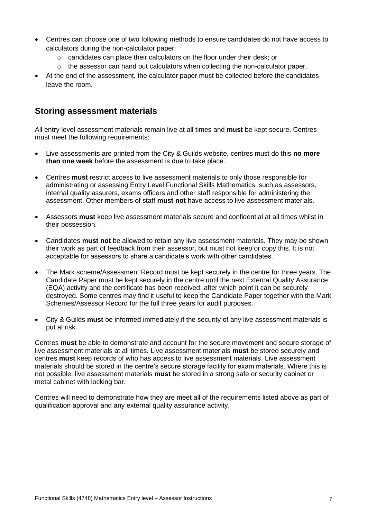- Centres can choose one of two following methods to ensure candidates do not have access to calculators during the non-calculator paper:
	- o candidates can place their calculators on the floor under their desk; or
	- $\circ$  the assessor can hand out calculators when collecting the non-calculator paper.
- At the end of the assessment, the calculator paper must be collected before the candidates leave the room.

## **Storing assessment materials**

All entry level assessment materials remain live at all times and **must** be kept secure. Centres must meet the following requirements:

- Live assessments are printed from the City & Guilds website, centres must do this **no more than one week** before the assessment is due to take place.
- Centres **must** restrict access to live assessment materials to only those responsible for administrating or assessing Entry Level Functional Skills Mathematics, such as assessors, internal quality assurers, exams officers and other staff responsible for administering the assessment. Other members of staff **must not** have access to live assessment materials.
- Assessors **must** keep live assessment materials secure and confidential at all times whilst in their possession.
- Candidates **must not** be allowed to retain any live assessment materials. They may be shown their work as part of feedback from their assessor, but must not keep or copy this. It is not acceptable for assessors to share a candidate's work with other candidates.
- The Mark scheme/Assessment Record must be kept securely in the centre for three years. The Candidate Paper must be kept securely in the centre until the next External Quality Assurance (EQA) activity and the certificate has been received, after which point it can be securely destroyed. Some centres may find it useful to keep the Candidate Paper together with the Mark Schemes/Assessor Record for the full three years for audit purposes.
- City & Guilds **must** be informed immediately if the security of any live assessment materials is put at risk.

Centres **must** be able to demonstrate and account for the secure movement and secure storage of live assessment materials at all times. Live assessment materials **must** be stored securely and centres **must** keep records of who has access to live assessment materials. Live assessment materials should be stored in the centre's secure storage facility for exam materials. Where this is not possible, live assessment materials **must** be stored in a strong safe or security cabinet or metal cabinet with locking bar.

Centres will need to demonstrate how they are meet all of the requirements listed above as part of qualification approval and any external quality assurance activity.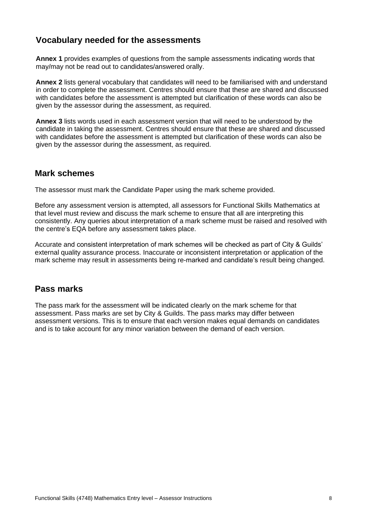## **Vocabulary needed for the assessments**

**Annex 1** provides examples of questions from the sample assessments indicating words that may/may not be read out to candidates/answered orally.

**Annex 2** lists general vocabulary that candidates will need to be familiarised with and understand in order to complete the assessment. Centres should ensure that these are shared and discussed with candidates before the assessment is attempted but clarification of these words can also be given by the assessor during the assessment, as required.

**Annex 3** lists words used in each assessment version that will need to be understood by the candidate in taking the assessment. Centres should ensure that these are shared and discussed with candidates before the assessment is attempted but clarification of these words can also be given by the assessor during the assessment, as required.

## **Mark schemes**

The assessor must mark the Candidate Paper using the mark scheme provided.

Before any assessment version is attempted, all assessors for Functional Skills Mathematics at that level must review and discuss the mark scheme to ensure that all are interpreting this consistently. Any queries about interpretation of a mark scheme must be raised and resolved with the centre's EQA before any assessment takes place.

Accurate and consistent interpretation of mark schemes will be checked as part of City & Guilds' external quality assurance process. Inaccurate or inconsistent interpretation or application of the mark scheme may result in assessments being re-marked and candidate's result being changed.

## **Pass marks**

The pass mark for the assessment will be indicated clearly on the mark scheme for that assessment. Pass marks are set by City & Guilds. The pass marks may differ between assessment versions. This is to ensure that each version makes equal demands on candidates and is to take account for any minor variation between the demand of each version.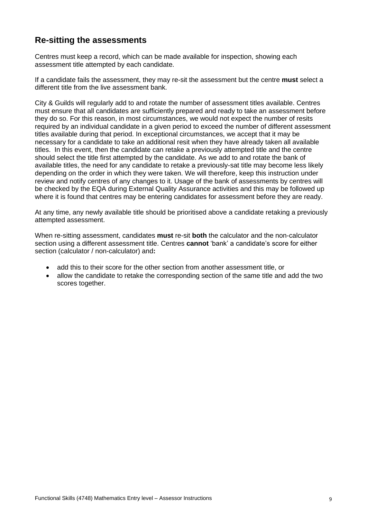## **Re-sitting the assessments**

Centres must keep a record, which can be made available for inspection, showing each assessment title attempted by each candidate.

If a candidate fails the assessment, they may re-sit the assessment but the centre **must** select a different title from the live assessment bank.

City & Guilds will regularly add to and rotate the number of assessment titles available. Centres must ensure that all candidates are sufficiently prepared and ready to take an assessment before they do so. For this reason, in most circumstances, we would not expect the number of resits required by an individual candidate in a given period to exceed the number of different assessment titles available during that period. In exceptional circumstances, we accept that it may be necessary for a candidate to take an additional resit when they have already taken all available titles. In this event, then the candidate can retake a previously attempted title and the centre should select the title first attempted by the candidate. As we add to and rotate the bank of available titles, the need for any candidate to retake a previously-sat title may become less likely depending on the order in which they were taken. We will therefore, keep this instruction under review and notify centres of any changes to it. Usage of the bank of assessments by centres will be checked by the EQA during External Quality Assurance activities and this may be followed up where it is found that centres may be entering candidates for assessment before they are ready.

At any time, any newly available title should be prioritised above a candidate retaking a previously attempted assessment.

When re-sitting assessment, candidates **must** re-sit **both** the calculator and the non-calculator section using a different assessment title. Centres **cannot** 'bank' a candidate's score for either section (calculator / non-calculator) and**:**

- add this to their score for the other section from another assessment title, or
- allow the candidate to retake the corresponding section of the same title and add the two scores together.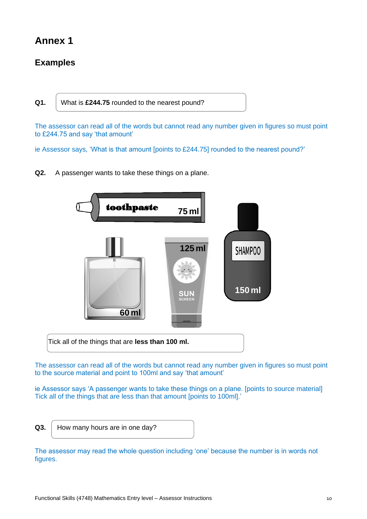## **Annex 1**

## **Examples**

**Q1.** What is **£244.75** rounded to the nearest pound?

The assessor can read all of the words but cannot read any number given in figures so must point to £244.75 and say 'that amount'

ie Assessor says, 'What is that amount [points to £244.75] rounded to the nearest pound?'

**Q2.** A passenger wants to take these things on a plane.



The assessor can read all of the words but cannot read any number given in figures so must point to the source material and point to 100ml and say 'that amount'

ie Assessor says 'A passenger wants to take these things on a plane. [points to source material] Tick all of the things that are less than that amount [points to 100ml].'

- 
- **Q3.** How many hours are in one day?

The assessor may read the whole question including 'one' because the number is in words not figures.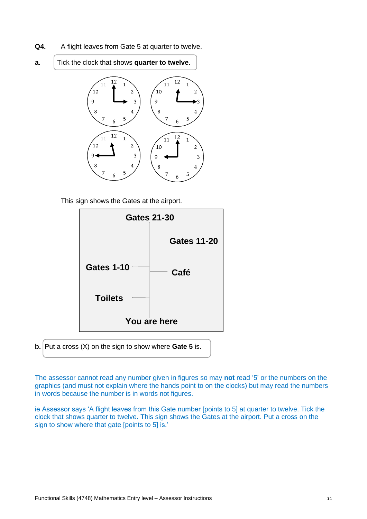- **Q4.** A flight leaves from Gate 5 at quarter to twelve.
- **a.** Tick the clock that shows **quarter to twelve**.



This sign shows the Gates at the airport.



**b.** Put a cross (X) on the sign to show where **Gate 5** is.

The assessor cannot read any number given in figures so may **not** read '5' or the numbers on the graphics (and must not explain where the hands point to on the clocks) but may read the numbers in words because the number is in words not figures.

ie Assessor says 'A flight leaves from this Gate number [points to 5] at quarter to twelve. Tick the clock that shows quarter to twelve. This sign shows the Gates at the airport. Put a cross on the sign to show where that gate [points to 5] is.'

Functional Skills (4748) Mathematics Entry level – Assessor Instructions 11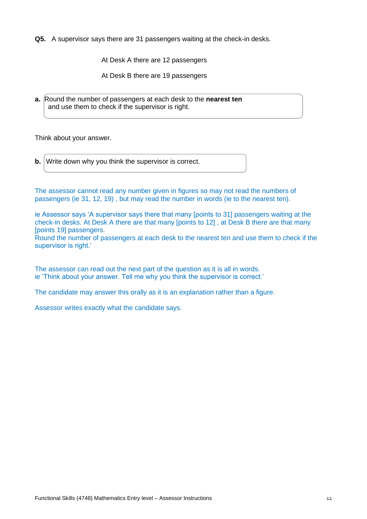**Q5.** A supervisor says there are 31 passengers waiting at the check-in desks.

At Desk A there are 12 passengers

At Desk B there are 19 passengers

**a.** Round the number of passengers at each desk to the **nearest ten**  and use them to check if the supervisor is right.

Think about your answer.

**b.** Write down why you think the supervisor is correct.

The assessor cannot read any number given in figures so may not read the numbers of passengers (ie 31, 12, 19) , but may read the number in words (ie to the nearest ten).

ie Assessor says 'A supervisor says there that many [points to 31] passengers waiting at the check-in desks. At Desk A there are that many [points to 12] , at Desk B there are that many [points 19] passengers.

Round the number of passengers at each desk to the nearest ten and use them to check if the supervisor is right.'

The assessor can read out the next part of the question as it is all in words. ie 'Think about your answer. Tell me why you think the supervisor is correct.'

The candidate may answer this orally as it is an explanation rather than a figure.

Assessor writes exactly what the candidate says.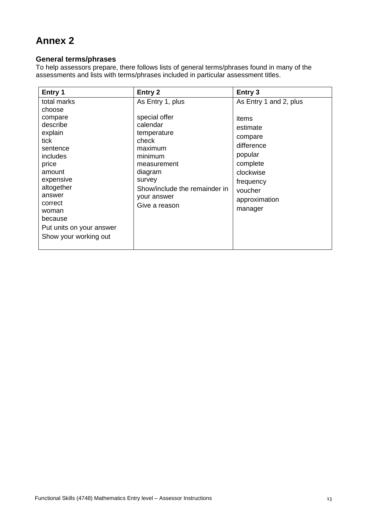## **Annex 2**

#### **General terms/phrases**

To help assessors prepare, there follows lists of general terms/phrases found in many of the assessments and lists with terms/phrases included in particular assessment titles.

| Entry 1                  | Entry 2                       | Entry 3                |
|--------------------------|-------------------------------|------------------------|
| total marks              | As Entry 1, plus              | As Entry 1 and 2, plus |
| choose                   |                               |                        |
| compare                  | special offer                 | items                  |
| describe                 | calendar                      | estimate               |
| explain                  | temperature                   | compare                |
| tick                     | check                         | difference             |
| sentence<br>includes     | maximum<br>minimum            | popular                |
| price                    | measurement                   | complete               |
| amount                   | diagram                       | clockwise              |
| expensive                | survey                        | frequency              |
| altogether               | Show/include the remainder in | voucher                |
| answer                   | your answer                   | approximation          |
| correct                  | Give a reason                 |                        |
| woman                    |                               | manager                |
| because                  |                               |                        |
| Put units on your answer |                               |                        |
| Show your working out    |                               |                        |
|                          |                               |                        |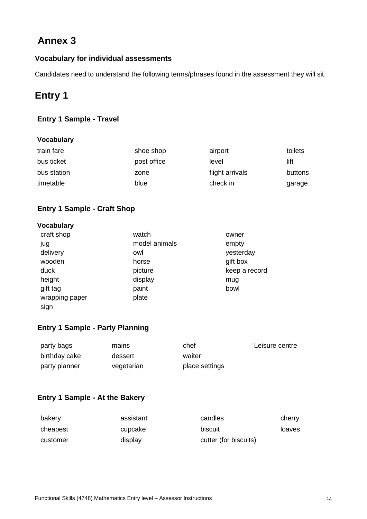## **Annex 3**

## **Vocabulary for individual assessments**

Candidates need to understand the following terms/phrases found in the assessment they will sit.

## **Entry 1**

## **Entry 1 Sample - Travel**

#### **Vocabulary**

| train fare  | shoe shop   | airport         | toilets |
|-------------|-------------|-----------------|---------|
| bus ticket  | post office | level           | lift    |
| bus station | zone        | flight arrivals | buttons |
| timetable   | blue        | check in        | garage  |

#### **Entry 1 Sample - Craft Shop**

#### **Vocabulary**

| craft shop     | watch         | owner         |
|----------------|---------------|---------------|
| jug            | model animals | empty         |
| delivery       | owl           | yesterday     |
| wooden         | horse         | gift box      |
| duck           | picture       | keep a record |
| height         | display       | mug           |
| gift tag       | paint         | bowl          |
| wrapping paper | plate         |               |
| sign           |               |               |

#### **Entry 1 Sample - Party Planning**

| party bags    | mains      | chef           | Leisure centre |
|---------------|------------|----------------|----------------|
| birthday cake | dessert    | waiter         |                |
| party planner | vegetarian | place settings |                |

### **Entry 1 Sample - At the Bakery**

| bakery   | assistant | candles               | cherry |
|----------|-----------|-----------------------|--------|
| cheapest | cupcake   | biscuit               | loaves |
| customer | display   | cutter (for biscuits) |        |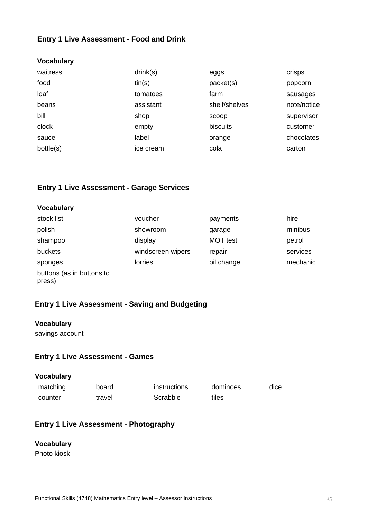#### **Entry 1 Live Assessment - Food and Drink**

| <b>Vocabulary</b> |           |               |             |
|-------------------|-----------|---------------|-------------|
| waitress          | drink(s)  | eggs          | crisps      |
| food              | tin(s)    | packet(s)     | popcorn     |
| loaf              | tomatoes  | farm          | sausages    |
| beans             | assistant | shelf/shelves | note/notice |
| bill              | shop      | scoop         | supervisor  |
| clock             | empty     | biscuits      | customer    |
| sauce             | label     | orange        | chocolates  |
| bottle(s)         | ice cream | cola          | carton      |

#### **Entry 1 Live Assessment - Garage Services**

#### **Vocabulary**

| stock list                          | voucher           | payments        | hire     |
|-------------------------------------|-------------------|-----------------|----------|
| polish                              | showroom          | garage          | minibus  |
| shampoo                             | display           | <b>MOT</b> test | petrol   |
| buckets                             | windscreen wipers | repair          | services |
| sponges                             | lorries           | oil change      | mechanic |
| buttons (as in buttons to<br>press) |                   |                 |          |

#### **Entry 1 Live Assessment - Saving and Budgeting**

#### **Vocabulary**

savings account

#### **Entry 1 Live Assessment - Games**

| <b>Vocabulary</b> |        |              |          |      |
|-------------------|--------|--------------|----------|------|
| matching          | board  | instructions | dominoes | dice |
| counter           | travel | Scrabble     | tiles    |      |

#### **Entry 1 Live Assessment - Photography**

#### **Vocabulary**

Photo kiosk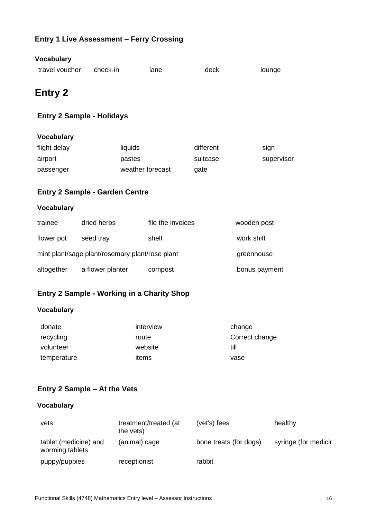## **Entry 1 Live Assessment – Ferry Crossing**

| <b>Vocabulary</b>                               |                  |                  |                   |           |               |            |
|-------------------------------------------------|------------------|------------------|-------------------|-----------|---------------|------------|
| travel voucher                                  | check-in         |                  | lane              | deck      |               | lounge     |
| <b>Entry 2</b>                                  |                  |                  |                   |           |               |            |
| <b>Entry 2 Sample - Holidays</b>                |                  |                  |                   |           |               |            |
| <b>Vocabulary</b>                               |                  |                  |                   |           |               |            |
| flight delay                                    |                  | liquids          |                   | different |               | sign       |
| airport                                         |                  | pastes           |                   | suitcase  |               | supervisor |
| passenger                                       |                  | weather forecast |                   | gate      |               |            |
| <b>Entry 2 Sample - Garden Centre</b>           |                  |                  |                   |           |               |            |
| <b>Vocabulary</b>                               |                  |                  |                   |           |               |            |
| trainee                                         | dried herbs      |                  | file the invoices |           | wooden post   |            |
| flower pot                                      | seed tray        |                  | shelf             |           | work shift    |            |
| mint plant/sage plant/rosemary plant/rose plant |                  |                  |                   |           | greenhouse    |            |
| altogether                                      | a flower planter |                  | compost           |           | bonus payment |            |
|                                                 |                  |                  |                   |           |               |            |

## **Entry 2 Sample - Working in a Charity Shop**

## **Vocabulary**

| donate      | interview | change         |
|-------------|-----------|----------------|
| recycling   | route     | Correct change |
| volunteer   | website   | till           |
| temperature | items     | vase           |

## **Entry 2 Sample – At the Vets**

#### **Vocabulary**

| vets                                     | treatment/treated (at<br>the vets) | (vet's) fees           | healthy              |
|------------------------------------------|------------------------------------|------------------------|----------------------|
| tablet (medicine) and<br>worming tablets | (animal) cage                      | bone treats (for dogs) | syringe (for medicir |
| puppy/puppies                            | receptionist                       | rabbit                 |                      |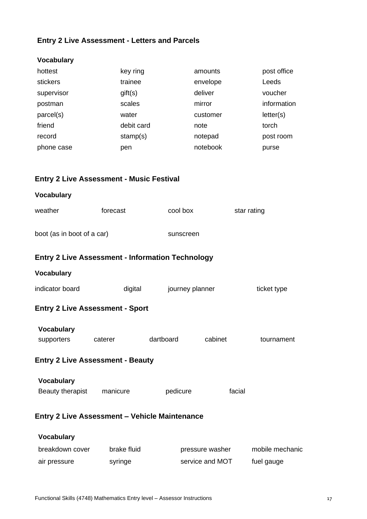## **Entry 2 Live Assessment - Letters and Parcels**

| <b>Vocabulary</b> |            |          |             |
|-------------------|------------|----------|-------------|
| hottest           | key ring   | amounts  | post office |
| stickers          | trainee    | envelope | Leeds       |
| supervisor        | gift(s)    | deliver  | voucher     |
| postman           | scales     | mirror   | information |
| parcel(s)         | water      | customer | letter(s)   |
| friend            | debit card | note     | torch       |
| record            | stamp(s)   | notepad  | post room   |
| phone case        | pen        | notebook | purse       |
|                   |            |          |             |

#### **Entry 2 Live Assessment - Music Festival**

| <b>Vocabulary</b>                                       |             |                 |                 |                 |
|---------------------------------------------------------|-------------|-----------------|-----------------|-----------------|
| weather                                                 | forecast    | cool box        |                 | star rating     |
| boot (as in boot of a car)                              |             | sunscreen       |                 |                 |
| <b>Entry 2 Live Assessment - Information Technology</b> |             |                 |                 |                 |
| <b>Vocabulary</b>                                       |             |                 |                 |                 |
| indicator board                                         | digital     | journey planner |                 | ticket type     |
| <b>Entry 2 Live Assessment - Sport</b>                  |             |                 |                 |                 |
| <b>Vocabulary</b><br>supporters                         | caterer     | dartboard       | cabinet         | tournament      |
| <b>Entry 2 Live Assessment - Beauty</b>                 |             |                 |                 |                 |
| <b>Vocabulary</b><br>Beauty therapist manicure          |             | pedicure        | facial          |                 |
| <b>Entry 2 Live Assessment - Vehicle Maintenance</b>    |             |                 |                 |                 |
| <b>Vocabulary</b>                                       |             |                 |                 |                 |
| breakdown cover                                         | brake fluid |                 | pressure washer | mobile mechanic |

air pressure syringe service and MOT fuel gauge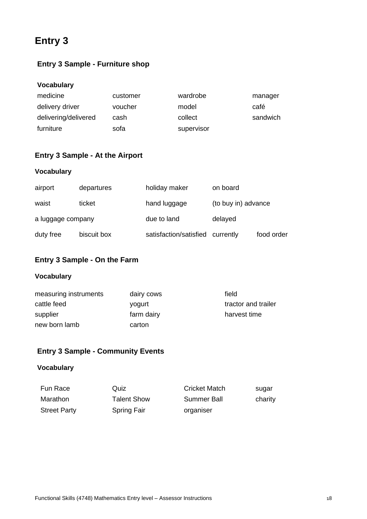## **Entry 3**

## **Entry 3 Sample - Furniture shop**

#### **Vocabulary**

| medicine             | customer | wardrobe   | manager  |
|----------------------|----------|------------|----------|
| delivery driver      | voucher  | model      | café     |
| delivering/delivered | cash     | collect    | sandwich |
| furniture            | sofa     | supervisor |          |

#### **Entry 3 Sample - At the Airport**

#### **Vocabulary**

| airport           | departures  | holiday maker          | on board            |            |
|-------------------|-------------|------------------------|---------------------|------------|
| waist             | ticket      | hand luggage           | (to buy in) advance |            |
| a luggage company |             | due to land            | delayed             |            |
| duty free         | biscuit box | satisfaction/satisfied | currently           | food order |

#### **Entry 3 Sample - On the Farm**

#### **Vocabulary**

| measuring instruments | dairy cows | field               |
|-----------------------|------------|---------------------|
| cattle feed           | yogurt     | tractor and trailer |
| supplier              | farm dairy | harvest time        |
| new born lamb         | carton     |                     |
|                       |            |                     |

#### **Entry 3 Sample - Community Events**

#### **Vocabulary**

| Fun Race            | Quiz               | <b>Cricket Match</b> | sugar   |
|---------------------|--------------------|----------------------|---------|
| Marathon            | <b>Talent Show</b> | Summer Ball          | charity |
| <b>Street Party</b> | <b>Spring Fair</b> | organiser            |         |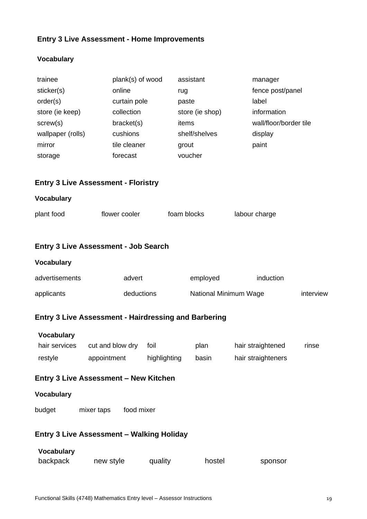## **Entry 3 Live Assessment - Home Improvements**

#### **Vocabulary**

| trainee<br>sticker(s)<br>order(s)<br>store (ie keep)<br>screw(s)<br>wallpaper (rolls) |                  | plank(s) of wood<br>online<br>curtain pole<br>collection<br>bracket(s)<br>cushions |      | assistant<br>rug<br>paste<br>items | store (ie shop)<br>shelf/shelves |  | manager<br>fence post/panel<br>label<br>information<br>wall/floor/border tile<br>display |           |
|---------------------------------------------------------------------------------------|------------------|------------------------------------------------------------------------------------|------|------------------------------------|----------------------------------|--|------------------------------------------------------------------------------------------|-----------|
| mirror<br>storage                                                                     |                  | tile cleaner<br>forecast                                                           |      | grout<br>voucher                   |                                  |  | paint                                                                                    |           |
| <b>Entry 3 Live Assessment - Floristry</b>                                            |                  |                                                                                    |      |                                    |                                  |  |                                                                                          |           |
| <b>Vocabulary</b>                                                                     |                  |                                                                                    |      |                                    |                                  |  |                                                                                          |           |
| plant food                                                                            |                  | flower cooler                                                                      |      | foam blocks                        |                                  |  | labour charge                                                                            |           |
| <b>Entry 3 Live Assessment - Job Search</b>                                           |                  |                                                                                    |      |                                    |                                  |  |                                                                                          |           |
| <b>Vocabulary</b>                                                                     |                  |                                                                                    |      |                                    |                                  |  |                                                                                          |           |
| advertisements                                                                        |                  | advert                                                                             |      |                                    | employed                         |  | induction                                                                                |           |
| applicants                                                                            |                  | deductions                                                                         |      |                                    | National Minimum Wage            |  |                                                                                          | interview |
| <b>Entry 3 Live Assessment - Hairdressing and Barbering</b>                           |                  |                                                                                    |      |                                    |                                  |  |                                                                                          |           |
| <b>Vocabulary</b><br>hair services<br>restyle                                         | cut and blow dry | appointment highlighting                                                           | foil |                                    | plan<br>basin                    |  | hair straightened<br>hair straighteners                                                  | rinse     |
| <b>Entry 3 Live Assessment - New Kitchen</b>                                          |                  |                                                                                    |      |                                    |                                  |  |                                                                                          |           |
| <b>Vocabulary</b>                                                                     |                  |                                                                                    |      |                                    |                                  |  |                                                                                          |           |
| budget                                                                                | mixer taps       | food mixer                                                                         |      |                                    |                                  |  |                                                                                          |           |
| <b>Entry 3 Live Assessment - Walking Holiday</b>                                      |                  |                                                                                    |      |                                    |                                  |  |                                                                                          |           |
| <b>Vocabulary</b>                                                                     |                  |                                                                                    |      |                                    |                                  |  |                                                                                          |           |

| backpack | new style | quality | hostel | sponsor |
|----------|-----------|---------|--------|---------|
|          |           |         |        |         |